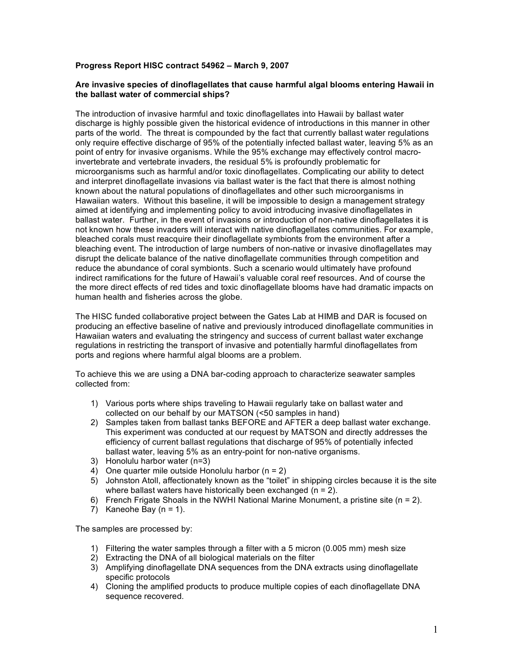## **Progress Report HISC contract 54962 – March 9, 2007**

## **Are invasive species of dinoflagellates that cause harmful algal blooms entering Hawaii in the ballast water of commercial ships?**

The introduction of invasive harmful and toxic dinoflagellates into Hawaii by ballast water discharge is highly possible given the historical evidence of introductions in this manner in other parts of the world. The threat is compounded by the fact that currently ballast water regulations only require effective discharge of 95% of the potentially infected ballast water, leaving 5% as an point of entry for invasive organisms. While the 95% exchange may effectively control macroinvertebrate and vertebrate invaders, the residual 5% is profoundly problematic for microorganisms such as harmful and/or toxic dinoflagellates. Complicating our ability to detect and interpret dinoflagellate invasions via ballast water is the fact that there is almost nothing known about the natural populations of dinoflagellates and other such microorganisms in Hawaiian waters. Without this baseline, it will be impossible to design a management strategy aimed at identifying and implementing policy to avoid introducing invasive dinoflagellates in ballast water. Further, in the event of invasions or introduction of non-native dinoflagellates it is not known how these invaders will interact with native dinoflagellates communities. For example, bleached corals must reacquire their dinoflagellate symbionts from the environment after a bleaching event. The introduction of large numbers of non-native or invasive dinoflagellates may disrupt the delicate balance of the native dinoflagellate communities through competition and reduce the abundance of coral symbionts. Such a scenario would ultimately have profound indirect ramifications for the future of Hawaii's valuable coral reef resources. And of course the the more direct effects of red tides and toxic dinoflagellate blooms have had dramatic impacts on human health and fisheries across the globe.

The HISC funded collaborative project between the Gates Lab at HIMB and DAR is focused on producing an effective baseline of native and previously introduced dinoflagellate communities in Hawaiian waters and evaluating the stringency and success of current ballast water exchange regulations in restricting the transport of invasive and potentially harmful dinoflagellates from ports and regions where harmful algal blooms are a problem.

To achieve this we are using a DNA bar-coding approach to characterize seawater samples collected from:

- 1) Various ports where ships traveling to Hawaii regularly take on ballast water and collected on our behalf by our MATSON (<50 samples in hand)
- 2) Samples taken from ballast tanks BEFORE and AFTER a deep ballast water exchange. This experiment was conducted at our request by MATSON and directly addresses the efficiency of current ballast regulations that discharge of 95% of potentially infected ballast water, leaving 5% as an entry-point for non-native organisms.
- 3) Honolulu harbor water (n=3)
- 4) One quarter mile outside Honolulu harbor  $(n = 2)$
- 5) Johnston Atoll, affectionately known as the "toilet" in shipping circles because it is the site where ballast waters have historically been exchanged  $(n = 2)$ .
- 6) French Frigate Shoals in the NWHI National Marine Monument, a pristine site ( $n = 2$ ).
- 7) Kaneohe Bay  $(n = 1)$ .

The samples are processed by:

- 1) Filtering the water samples through a filter with a 5 micron (0.005 mm) mesh size
- 2) Extracting the DNA of all biological materials on the filter
- 3) Amplifying dinoflagellate DNA sequences from the DNA extracts using dinoflagellate specific protocols
- 4) Cloning the amplified products to produce multiple copies of each dinoflagellate DNA sequence recovered.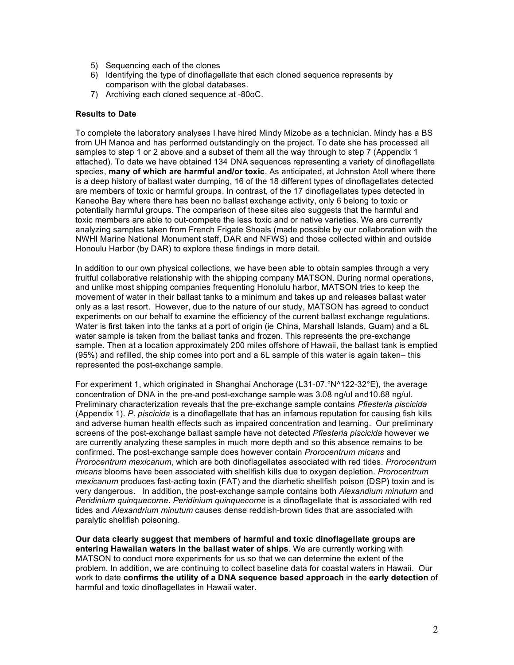- 5) Sequencing each of the clones
- 6) Identifying the type of dinoflagellate that each cloned sequence represents by comparison with the global databases.
- 7) Archiving each cloned sequence at -80oC.

## **Results to Date**

To complete the laboratory analyses I have hired Mindy Mizobe as a technician. Mindy has a BS from UH Manoa and has performed outstandingly on the project. To date she has processed all samples to step 1 or 2 above and a subset of them all the way through to step 7 (Appendix 1 attached). To date we have obtained 134 DNA sequences representing a variety of dinoflagellate species, **many of which are harmful and/or toxic**. As anticipated, at Johnston Atoll where there is a deep history of ballast water dumping, 16 of the 18 different types of dinoflagellates detected are members of toxic or harmful groups. In contrast, of the 17 dinoflagellates types detected in Kaneohe Bay where there has been no ballast exchange activity, only 6 belong to toxic or potentially harmful groups. The comparison of these sites also suggests that the harmful and toxic members are able to out-compete the less toxic and or native varieties. We are currently analyzing samples taken from French Frigate Shoals (made possible by our collaboration with the NWHI Marine National Monument staff, DAR and NFWS) and those collected within and outside Honoulu Harbor (by DAR) to explore these findings in more detail.

In addition to our own physical collections, we have been able to obtain samples through a very fruitful collaborative relationship with the shipping company MATSON. During normal operations, and unlike most shipping companies frequenting Honolulu harbor, MATSON tries to keep the movement of water in their ballast tanks to a minimum and takes up and releases ballast water only as a last resort. However, due to the nature of our study, MATSON has agreed to conduct experiments on our behalf to examine the efficiency of the current ballast exchange regulations. Water is first taken into the tanks at a port of origin (ie China, Marshall Islands, Guam) and a 6L water sample is taken from the ballast tanks and frozen. This represents the pre-exchange sample. Then at a location approximately 200 miles offshore of Hawaii, the ballast tank is emptied (95%) and refilled, the ship comes into port and a 6L sample of this water is again taken– this represented the post-exchange sample.

For experiment 1, which originated in Shanghai Anchorage (L31-07.°N^122-32°E), the average concentration of DNA in the pre-and post-exchange sample was 3.08 ng/ul and10.68 ng/ul. Preliminary characterization reveals that the pre-exchange sample contains *Pfiesteria piscicida* (Appendix 1). *P. piscicida* is a dinoflagellate that has an infamous reputation for causing fish kills and adverse human health effects such as impaired concentration and learning. Our preliminary screens of the post-exchange ballast sample have not detected *Pfiesteria piscicida* however we are currently analyzing these samples in much more depth and so this absence remains to be confirmed. The post-exchange sample does however contain *Prorocentrum micans* and *Prorocentrum mexicanum*, which are both dinoflagellates associated with red tides. *Prorocentrum micans* blooms have been associated with shellfish kills due to oxygen depletion. *Prorocentrum mexicanum* produces fast-acting toxin (FAT) and the diarhetic shellfish poison (DSP) toxin and is very dangerous. In addition, the post-exchange sample contains both *Alexandium minutum* and *Peridinium quinquecorne*. *Peridinium quinquecorne* is a dinoflagellate that is associated with red tides and *Alexandrium minutum* causes dense reddish-brown tides that are associated with paralytic shellfish poisoning.

**Our data clearly suggest that members of harmful and toxic dinoflagellate groups are entering Hawaiian waters in the ballast water of ships**. We are currently working with MATSON to conduct more experiments for us so that we can determine the extent of the problem. In addition, we are continuing to collect baseline data for coastal waters in Hawaii. Our work to date **confirms the utility of a DNA sequence based approach** in the **early detection** of harmful and toxic dinoflagellates in Hawaii water.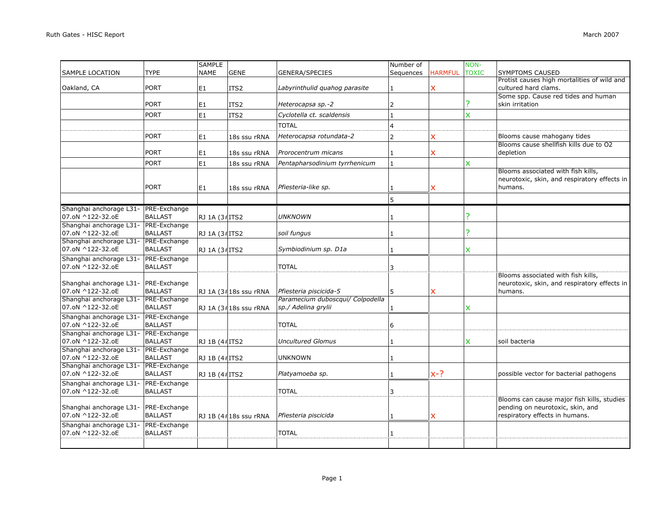|                                                          |                                       | <b>SAMPLE</b>  |                       |                                                         | Number of      |                | NON-           |                                                                                                                  |
|----------------------------------------------------------|---------------------------------------|----------------|-----------------------|---------------------------------------------------------|----------------|----------------|----------------|------------------------------------------------------------------------------------------------------------------|
| <b>SAMPLE LOCATION</b>                                   | <b>TYPE</b>                           | <b>NAME</b>    | <b>GENE</b>           | <b>GENERA/SPECIES</b>                                   | Sequences      | <b>HARMFUL</b> | <b>TOXIC</b>   | SYMPTOMS CAUSED                                                                                                  |
| Oakland, CA                                              | <b>PORT</b>                           | E <sub>1</sub> | ITS <sub>2</sub>      | Labyrinthulid quahog parasite                           | 1              | x              |                | Protist causes high mortalities of wild and<br>cultured hard clams.                                              |
|                                                          | <b>PORT</b>                           | E <sub>1</sub> | ITS2                  | Heterocapsa sp.-2                                       | 2              |                | ?              | Some spp. Cause red tides and human<br>skin irritation                                                           |
|                                                          | <b>PORT</b>                           | E1             | ITS2                  | Cyclotella ct. scaldensis                               | 1              |                | $\pmb{\times}$ |                                                                                                                  |
|                                                          |                                       |                |                       | <b>TOTAL</b>                                            | $\overline{4}$ |                |                |                                                                                                                  |
|                                                          | PORT                                  | E1             | 18s ssu rRNA          | Heterocapsa rotundata-2                                 | 2              | x              |                | Blooms cause mahogany tides                                                                                      |
|                                                          | <b>PORT</b>                           | E1             | 18s ssu rRNA          | Prorocentrum micans                                     | 1              | x              |                | Blooms cause shellfish kills due to O2<br>depletion                                                              |
|                                                          | <b>PORT</b>                           | E <sub>1</sub> | 18s ssu rRNA          | Pentapharsodinium tyrrhenicum                           | $\mathbf{1}$   |                | X              |                                                                                                                  |
|                                                          | <b>PORT</b>                           | E <sub>1</sub> | 18s ssu rRNA          | Pfiesteria-like sp.                                     | 1              | x              |                | Blooms associated with fish kills,<br>neurotoxic, skin, and respiratory effects in<br>humans.                    |
|                                                          |                                       |                |                       |                                                         | 5              |                |                |                                                                                                                  |
| Shanghai anchorage L31- PRE-Exchange<br>07.oN ^122-32.oE | <b>BALLAST</b>                        | RJ 1A (34 ITS2 |                       | <b>UNKNOWN</b>                                          |                |                | <sup>2</sup>   |                                                                                                                  |
| Shanghai anchorage L31-<br>07.oN ^122-32.oE              | PRE-Exchange<br><b>BALLAST</b>        | RJ 1A (3#ITS2  |                       | soil fungus                                             | 1              |                | ?              |                                                                                                                  |
| Shanghai anchorage L31- PRE-Exchange<br>07.oN ^122-32.oE | <b>BALLAST</b>                        | RJ 1A (3#ITS2  |                       | Symbiodinium sp. D1a                                    |                |                | X              |                                                                                                                  |
| Shanghai anchorage L31-<br>07.oN ^122-32.oE              | PRE-Exchange<br><b>BALLAST</b>        |                |                       | <b>TOTAL</b>                                            | 3              |                |                |                                                                                                                  |
| Shanghai anchorage L31- PRE-Exchange<br>07.oN ^122-32.oE | <b>BALLAST</b>                        |                | RJ 1A (3#18s ssu rRNA | Pfiesteria piscicida-5                                  | 5              | X              |                | Blooms associated with fish kills,<br>neurotoxic, skin, and respiratory effects in<br>humans.                    |
| Shanghai anchorage L31- PRE-Exchange<br>07.oN ^122-32.oE | <b>BALLAST</b>                        |                | RJ 1A (3418s ssu rRNA | Paramecium duboscqui/ Colpodella<br>sp./ Adelina grylii |                |                | X              |                                                                                                                  |
| Shanghai anchorage L31- PRE-Exchange<br>07.oN ^122-32.oE | <b>BALLAST</b>                        |                |                       | <b>TOTAL</b>                                            | 6              |                |                |                                                                                                                  |
| Shanghai anchorage L31- PRE-Exchange<br>07.oN ^122-32.oE | <b>BALLAST</b>                        | RJ 1B (4#ITS2  |                       | <b>Uncultured Glomus</b>                                |                |                | X              | soil bacteria                                                                                                    |
| Shanghai anchorage L31-<br>07.oN ^122-32.oE              | <b>PRE-Exchange</b><br><b>BALLAST</b> | RJ 1B (4#ITS2  |                       | <b>UNKNOWN</b>                                          |                |                |                |                                                                                                                  |
| Shanghai anchorage L31- PRE-Exchange<br>07.oN ^122-32.oE | <b>BALLAST</b>                        | RJ 1B (4#ITS2  |                       | Platyamoeba sp.                                         | $\mathbf{1}$   | $x-?$          |                | possible vector for bacterial pathogens                                                                          |
| Shanghai anchorage L31- PRE-Exchange<br>07.oN ^122-32.oE | <b>BALLAST</b>                        |                |                       | <b>TOTAL</b>                                            | 3              |                |                |                                                                                                                  |
| Shanghai anchorage L31-<br>07.oN ^122-32.oE              | PRE-Exchange<br><b>BALLAST</b>        |                | RJ 1B (4#18s ssu rRNA | Pfiesteria piscicida                                    |                | x              |                | Blooms can cause major fish kills, studies<br>pending on neurotoxic, skin, and<br>respiratory effects in humans. |
| Shanghai anchorage L31-<br>07.oN ^122-32.oE              | PRE-Exchange<br><b>BALLAST</b>        |                |                       | <b>TOTAL</b>                                            |                |                |                |                                                                                                                  |
|                                                          |                                       |                |                       |                                                         |                |                |                |                                                                                                                  |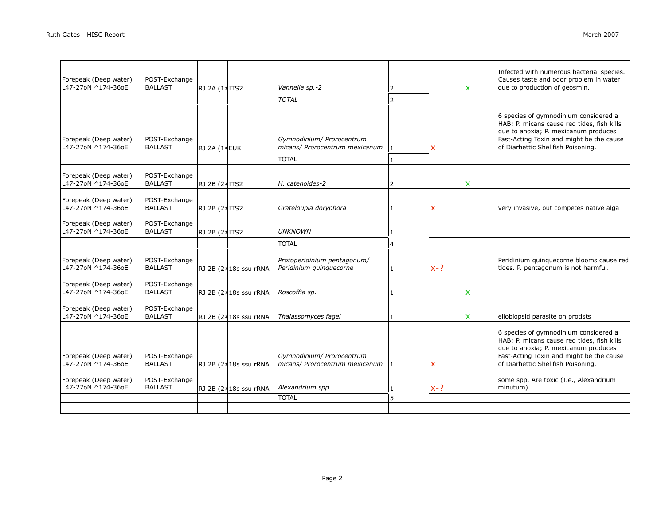| Forepeak (Deep water)<br>L47-27oN ^174-36oE | POST-Exchange<br><b>BALLAST</b> | RJ 2A (1#ITS2 |                       | Vannella sp.-2                                                              | $\overline{2}$    |       | x | Infected with numerous bacterial species.<br>Causes taste and odor problem in water<br>due to production of geosmin.                                                                                          |
|---------------------------------------------|---------------------------------|---------------|-----------------------|-----------------------------------------------------------------------------|-------------------|-------|---|---------------------------------------------------------------------------------------------------------------------------------------------------------------------------------------------------------------|
|                                             |                                 |               |                       | <b>TOTAL</b>                                                                | $\overline{2}$    |       |   |                                                                                                                                                                                                               |
| Forepeak (Deep water)<br>L47-27oN ^174-36oE | POST-Exchange<br><b>BALLAST</b> | RJ 2A (1#EUK  |                       | Gymnodinium/ Prorocentrum<br>micans/ Prorocentrum mexicanum<br><b>TOTAL</b> | 1<br>$\mathbf{1}$ | x     |   | 6 species of gymnodinium considered a<br>HAB; P. micans cause red tides, fish kills<br>due to anoxia; P. mexicanum produces<br>Fast-Acting Toxin and might be the cause<br>of Diarhettic Shellfish Poisoning. |
| Forepeak (Deep water)<br>L47-27oN ^174-36oE | POST-Exchange<br><b>BALLAST</b> | RJ 2B (2#ITS2 |                       | H. catenoides-2                                                             | $\overline{2}$    |       | X |                                                                                                                                                                                                               |
| Forepeak (Deep water)<br>L47-27oN ^174-36oE | POST-Exchange<br><b>BALLAST</b> | RJ 2B (24ITS2 |                       | Grateloupia doryphora                                                       | 1                 | x     |   | very invasive, out competes native alga                                                                                                                                                                       |
| Forepeak (Deep water)<br>L47-27oN ^174-36oE | POST-Exchange<br><b>BALLAST</b> | RJ 2B (2#ITS2 |                       | <b>UNKNOWN</b>                                                              |                   |       |   |                                                                                                                                                                                                               |
|                                             |                                 |               |                       | <b>TOTAL</b>                                                                | 4                 |       |   |                                                                                                                                                                                                               |
| Forepeak (Deep water)<br>L47-27oN ^174-36oE | POST-Exchange<br><b>BALLAST</b> |               | RJ 2B (2#18s ssu rRNA | Protoperidinium pentagonum/<br>Peridinium quinquecorne                      | $\mathbf{1}$      | $x-?$ |   | Peridinium quinquecorne blooms cause red<br>tides. P. pentagonum is not harmful.                                                                                                                              |
| Forepeak (Deep water)<br>L47-27oN ^174-36oE | POST-Exchange<br><b>BALLAST</b> |               | RJ 2B (2418s ssu rRNA | Roscoffia sp.                                                               | 1                 |       | x |                                                                                                                                                                                                               |
| Forepeak (Deep water)<br>L47-27oN ^174-36oE | POST-Exchange<br><b>BALLAST</b> |               | RJ 2B (2#18s ssu rRNA | Thalassomyces fagei                                                         | $\mathbf{1}$      |       | X | ellobiopsid parasite on protists                                                                                                                                                                              |
| Forepeak (Deep water)<br>L47-27oN ^174-36oE | POST-Exchange<br><b>BALLAST</b> |               | RJ 2B (2#18s ssu rRNA | Gymnodinium/ Prorocentrum<br>micans/ Prorocentrum mexicanum $ 1 $           |                   | X.    |   | 6 species of gymnodinium considered a<br>HAB; P. micans cause red tides, fish kills<br>due to anoxia; P. mexicanum produces<br>Fast-Acting Toxin and might be the cause<br>of Diarhettic Shellfish Poisoning. |
| Forepeak (Deep water)<br>L47-27oN ^174-36oE | POST-Exchange<br><b>BALLAST</b> |               | RJ 2B (2418s ssu rRNA | Alexandrium spp.                                                            | 1                 | $x-?$ |   | some spp. Are toxic (I.e., Alexandrium<br>minutum)                                                                                                                                                            |
|                                             |                                 |               |                       | <b>TOTAL</b>                                                                | 5                 |       |   |                                                                                                                                                                                                               |
|                                             |                                 |               |                       |                                                                             |                   |       |   |                                                                                                                                                                                                               |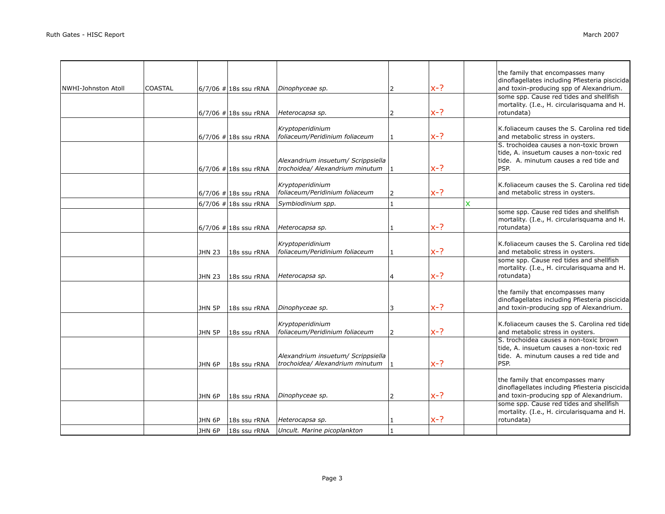| <b>INWHI-Johnston Atoll</b> | COASTAL |               | $6/7/06$ # 18s ssu rRNA | Dinophyceae sp.                                                       | $\overline{2}$ | $x-?$ |   | the family that encompasses many<br>dinoflagellates including Pfiesteria piscicida<br>and toxin-producing spp of Alexandrium.        |
|-----------------------------|---------|---------------|-------------------------|-----------------------------------------------------------------------|----------------|-------|---|--------------------------------------------------------------------------------------------------------------------------------------|
|                             |         |               | $6/7/06$ # 18s ssu rRNA | Heterocapsa sp.                                                       | $\overline{2}$ | $x-?$ |   | some spp. Cause red tides and shellfish<br>mortality. (I.e., H. circularisquama and H.<br>rotundata)                                 |
|                             |         |               |                         |                                                                       |                |       |   |                                                                                                                                      |
|                             |         |               | $6/7/06$ # 18s ssu rRNA | Kryptoperidinium<br>foliaceum/Peridinium foliaceum                    | $\mathbf{1}$   | $x-?$ |   | K.foliaceum causes the S. Carolina red tide<br>and metabolic stress in oysters.                                                      |
|                             |         |               | $6/7/06$ # 18s ssu rRNA | Alexandrium insuetum/ Scrippsiella<br>trochoidea/ Alexandrium minutum |                | $x-?$ |   | S. trochoidea causes a non-toxic brown<br>tide, A. insuetum causes a non-toxic red<br>tide. A. minutum causes a red tide and<br>PSP. |
|                             |         |               | $6/7/06$ # 18s ssu rRNA | Kryptoperidinium<br>foliaceum/Peridinium foliaceum                    | 2              | $x-?$ |   | K.foliaceum causes the S. Carolina red tide<br>and metabolic stress in oysters.                                                      |
|                             |         |               | $6/7/06$ # 18s ssu rRNA | Symbiodinium spp.                                                     | $\mathbf{1}$   |       | X |                                                                                                                                      |
|                             |         |               | $6/7/06$ # 18s ssu rRNA | Heterocapsa sp.                                                       | $\mathbf{1}$   | $x-?$ |   | some spp. Cause red tides and shellfish<br>mortality. (I.e., H. circularisquama and H.<br>rotundata)                                 |
|                             |         | <b>JHN 23</b> | 18s ssu rRNA            | Kryptoperidinium<br>foliaceum/Peridinium foliaceum                    | $\mathbf{1}$   | $x-?$ |   | K.foliaceum causes the S. Carolina red tide<br>and metabolic stress in oysters.                                                      |
|                             |         | <b>JHN 23</b> | 18s ssu rRNA            | Heterocapsa sp.                                                       | 4              | $x-?$ |   | some spp. Cause red tides and shellfish<br>mortality. (I.e., H. circularisquama and H.<br>rotundata)                                 |
|                             |         | JHN 5P        | 18s ssu rRNA            | Dinophyceae sp.                                                       | 3              | $x-?$ |   | the family that encompasses many<br>dinoflagellates including Pfiesteria piscicida<br>and toxin-producing spp of Alexandrium.        |
|                             |         | JHN 5P        | 18s ssu rRNA            | Kryptoperidinium<br>foliaceum/Peridinium foliaceum                    | $\overline{2}$ | $x-?$ |   | K.foliaceum causes the S. Carolina red tide<br>and metabolic stress in oysters.                                                      |
|                             |         | JHN 6P        | 18s ssu rRNA            | Alexandrium insuetum/ Scrippsiella<br>trochoidea/ Alexandrium minutum |                | $x-?$ |   | S. trochoidea causes a non-toxic brown<br>tide, A. insuetum causes a non-toxic red<br>tide. A. minutum causes a red tide and<br>PSP. |
|                             |         | JHN 6P        | 18s ssu rRNA            | Dinophyceae sp.                                                       | $\overline{2}$ | $x-?$ |   | the family that encompasses many<br>dinoflagellates including Pfiesteria piscicida<br>and toxin-producing spp of Alexandrium.        |
|                             |         | JHN 6P        | 18s ssu rRNA            | Heterocapsa sp.                                                       |                | $x-?$ |   | some spp. Cause red tides and shellfish<br>mortality. (I.e., H. circularisquama and H.<br>rotundata)                                 |
|                             |         | JHN 6P        | 18s ssu rRNA            | Uncult. Marine picoplankton                                           |                |       |   |                                                                                                                                      |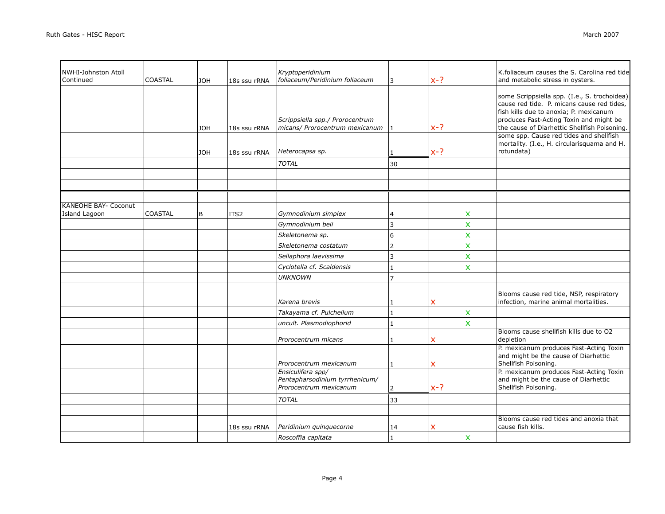| NWHI-Johnston Atoll<br>Continued             | <b>COASTAL</b> | <b>HOL</b> | 18s ssu rRNA     | Kryptoperidinium<br>foliaceum/Peridinium foliaceum                | 3              | $x-?$        |                           | K.foliaceum causes the S. Carolina red tide<br>and metabolic stress in oysters.                                                                                                                                                 |
|----------------------------------------------|----------------|------------|------------------|-------------------------------------------------------------------|----------------|--------------|---------------------------|---------------------------------------------------------------------------------------------------------------------------------------------------------------------------------------------------------------------------------|
|                                              |                | <b>JOH</b> | 18s ssu rRNA     | Scrippsiella spp./ Prorocentrum<br>micans/ Prorocentrum mexicanum |                | $x-?$        |                           | some Scrippsiella spp. (I.e., S. trochoidea)<br>cause red tide. P. micans cause red tides,<br>fish kills due to anoxia; P. mexicanum<br>produces Fast-Acting Toxin and might be<br>the cause of Diarhettic Shellfish Poisoning. |
|                                              |                | <b>JOH</b> | 18s ssu rRNA     | Heterocapsa sp.                                                   |                | $x-?$        |                           | some spp. Cause red tides and shellfish<br>mortality. (I.e., H. circularisquama and H.<br>rotundata)                                                                                                                            |
|                                              |                |            |                  | <b>TOTAL</b>                                                      | 30             |              |                           |                                                                                                                                                                                                                                 |
|                                              |                |            |                  |                                                                   |                |              |                           |                                                                                                                                                                                                                                 |
| <b>KANEOHE BAY- Coconut</b><br>Island Lagoon | <b>COASTAL</b> | B          | ITS <sub>2</sub> | Gymnodinium simplex                                               | 4              |              | x                         |                                                                                                                                                                                                                                 |
|                                              |                |            |                  | Gymnodinium beii                                                  | 3              |              | X                         |                                                                                                                                                                                                                                 |
|                                              |                |            |                  | Skeletonema sp.                                                   | 6              |              | $\overline{\mathsf{x}}$   |                                                                                                                                                                                                                                 |
|                                              |                |            |                  | Skeletonema costatum                                              | $\overline{2}$ |              | $\boldsymbol{\mathsf{x}}$ |                                                                                                                                                                                                                                 |
|                                              |                |            |                  | Sellaphora laevissima                                             | 3              |              | $\overline{\mathsf{x}}$   |                                                                                                                                                                                                                                 |
|                                              |                |            |                  | Cyclotella cf. Scaldensis                                         | $\mathbf{1}$   |              | X                         |                                                                                                                                                                                                                                 |
|                                              |                |            |                  | <b>UNKNOWN</b>                                                    | $\overline{7}$ |              |                           |                                                                                                                                                                                                                                 |
|                                              |                |            |                  | Karena brevis                                                     | 1              | $\mathsf{x}$ |                           | Blooms cause red tide, NSP, respiratory<br>infection, marine animal mortalities.                                                                                                                                                |
|                                              |                |            |                  | Takayama cf. Pulchellum                                           | $\mathbf{1}$   |              | $\boldsymbol{\mathsf{x}}$ |                                                                                                                                                                                                                                 |
|                                              |                |            |                  | uncult. Plasmodiophorid                                           | $\mathbf{1}$   |              | $\overline{\mathsf{x}}$   |                                                                                                                                                                                                                                 |
|                                              |                |            |                  | Prorocentrum micans                                               | 1              | x            |                           | Blooms cause shellfish kills due to O2<br>depletion                                                                                                                                                                             |
|                                              |                |            |                  | Prorocentrum mexicanum<br>Ensiculifera spp/                       | 1              | $\mathsf{x}$ |                           | P. mexicanum produces Fast-Acting Toxin<br>and might be the cause of Diarhettic<br>Shellfish Poisoning.<br>P. mexicanum produces Fast-Acting Toxin                                                                              |
|                                              |                |            |                  | Pentapharsodinium tyrrhenicum/<br>Prorocentrum mexicanum          | $\overline{2}$ | $x-?$        |                           | and might be the cause of Diarhettic<br>Shellfish Poisoning.                                                                                                                                                                    |
|                                              |                |            |                  | <b>TOTAL</b>                                                      | 33             |              |                           |                                                                                                                                                                                                                                 |
|                                              |                |            |                  |                                                                   |                |              |                           |                                                                                                                                                                                                                                 |
|                                              |                |            | 18s ssu rRNA     | Peridinium quinquecorne                                           | 14             | x            |                           | Blooms cause red tides and anoxia that<br>cause fish kills.                                                                                                                                                                     |
|                                              |                |            |                  | Roscoffia capitata                                                | $\mathbf{1}$   |              | $\boldsymbol{\mathsf{x}}$ |                                                                                                                                                                                                                                 |